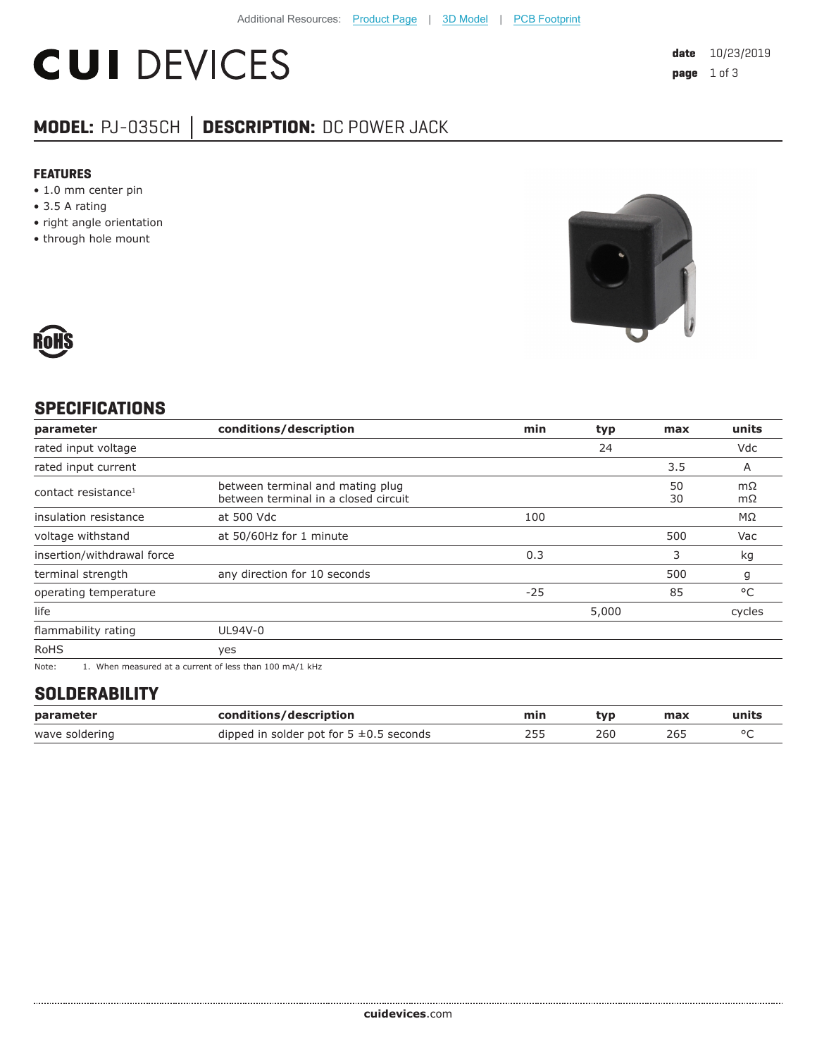# **CUI DEVICES**

### **MODEL:** PJ-035CH **│ DESCRIPTION:** DC POWER JACK

#### **FEATURES**

- 1.0 mm center pin
- 3.5 A rating
- right angle orientation
- through hole mount





#### **SPECIFICATIONS**

| parameter                       | conditions/description                                                                                    | min   | typ   | max      | units    |
|---------------------------------|-----------------------------------------------------------------------------------------------------------|-------|-------|----------|----------|
| rated input voltage             |                                                                                                           |       | 24    |          | Vdc      |
| rated input current             |                                                                                                           |       |       | 3.5      | A        |
| contact resistance <sup>1</sup> | between terminal and mating plug<br>between terminal in a closed circuit                                  |       |       | 50<br>30 | mΩ<br>mΩ |
| insulation resistance           | at 500 Vdc                                                                                                | 100   |       |          | ΜΩ       |
| voltage withstand               | at 50/60Hz for 1 minute                                                                                   |       |       | 500      | Vac      |
| insertion/withdrawal force      |                                                                                                           | 0.3   |       | 3        | kg       |
| terminal strength               | any direction for 10 seconds                                                                              |       |       | 500      | g        |
| operating temperature           |                                                                                                           | $-25$ |       | 85       | °C       |
| life                            |                                                                                                           |       | 5,000 |          | cycles   |
| flammability rating             | UL94V-0                                                                                                   |       |       |          |          |
| <b>RoHS</b>                     | yes                                                                                                       |       |       |          |          |
| $N = 1$                         | $\overline{1}$ . Mile a consequent of a consequent of logical theory $\overline{100}$ as $\overline{111}$ |       |       |          |          |

Note: 1. When measured at a current of less than 100 mA/1 kHz

#### **SOLDERABILITY**

| parameter      | conditions/description                       | min | tvp | max | units |
|----------------|----------------------------------------------|-----|-----|-----|-------|
| wave soldering | dipped in solder pot for $5 \pm 0.5$ seconds |     | 260 | 265 |       |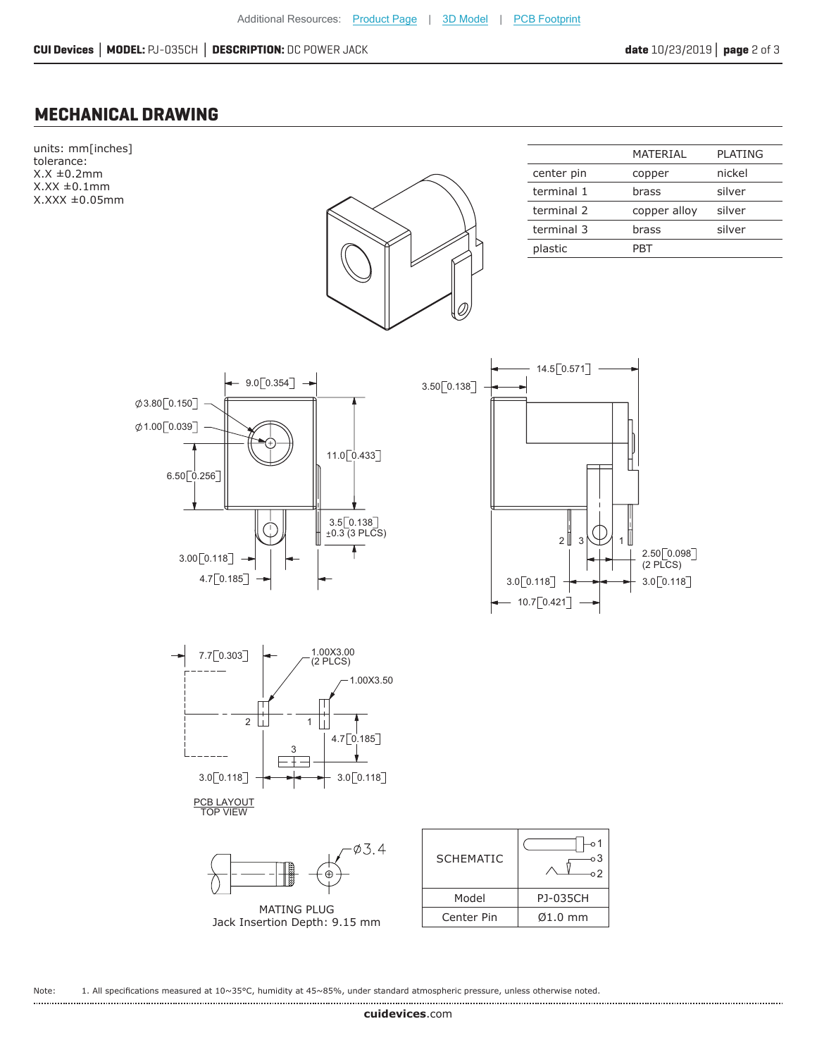#### **MECHANICAL DRAWING**



Note: 1. All specifications measured at 10~35°C, humidity at 45~85%, under standard atmospheric pressure, unless otherwise noted.